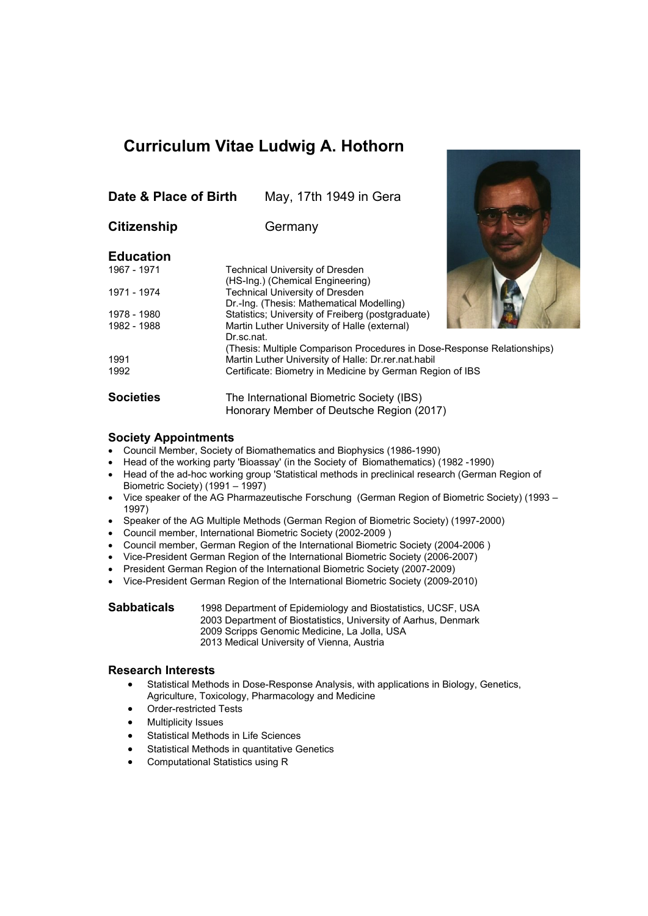# **Curriculum Vitae Ludwig A. Hothorn**

| Date & Place of Birth | May, 17th 1949 in Gera                                                       |
|-----------------------|------------------------------------------------------------------------------|
| Citizenship           | Germany                                                                      |
| <b>Education</b>      |                                                                              |
| 1967 - 1971           | <b>Technical University of Dresden</b><br>(HS-Ing.) (Chemical Engineering)   |
| 1971 - 1974           | Technical University of Dresden<br>Dr.-Ing. (Thesis: Mathematical Modelling) |
| 1978 - 1980           | Statistics; University of Freiberg (postgraduate)                            |
| 1982 - 1988           | Martin Luther University of Halle (external)<br>Dr.sc.nat.                   |
|                       | (Thesis: Multiple Comparison Procedures in Dose-Response Relationships)      |
| 1991                  | Martin Luther University of Halle: Dr.rer.nat.habil                          |
| 1992                  | Certificate: Biometry in Medicine by German Region of IBS                    |
| Societies             | The International Biometric Society (IBS)                                    |
|                       | Honorary Member of Deutsche Region (2017)                                    |

# **Society Appointments**

- Council Member, Society of Biomathematics and Biophysics (1986-1990)
- Head of the working party 'Bioassay' (in the Society of Biomathematics) (1982 -1990)
- Head of the ad-hoc working group 'Statistical methods in preclinical research (German Region of Biometric Society) (1991 – 1997)
- Vice speaker of the AG Pharmazeutische Forschung (German Region of Biometric Society) (1993 1997)
- Speaker of the AG Multiple Methods (German Region of Biometric Society) (1997-2000)
- Council member, International Biometric Society (2002-2009 )
- Council member, German Region of the International Biometric Society (2004-2006 )
- Vice-President German Region of the International Biometric Society (2006-2007)
- President German Region of the International Biometric Society (2007-2009)
- Vice-President German Region of the International Biometric Society (2009-2010)

**Sabbaticals** 1998 Department of Epidemiology and Biostatistics, UCSF, USA 2003 Department of Biostatistics, University of Aarhus, Denmark 2009 Scripps Genomic Medicine, La Jolla, USA 2013 Medical University of Vienna, Austria

# **Research Interests**

- Statistical Methods in Dose-Response Analysis, with applications in Biology, Genetics, Agriculture, Toxicology, Pharmacology and Medicine
- Order-restricted Tests
- Multiplicity Issues
- Statistical Methods in Life Sciences
- Statistical Methods in quantitative Genetics
- Computational Statistics using R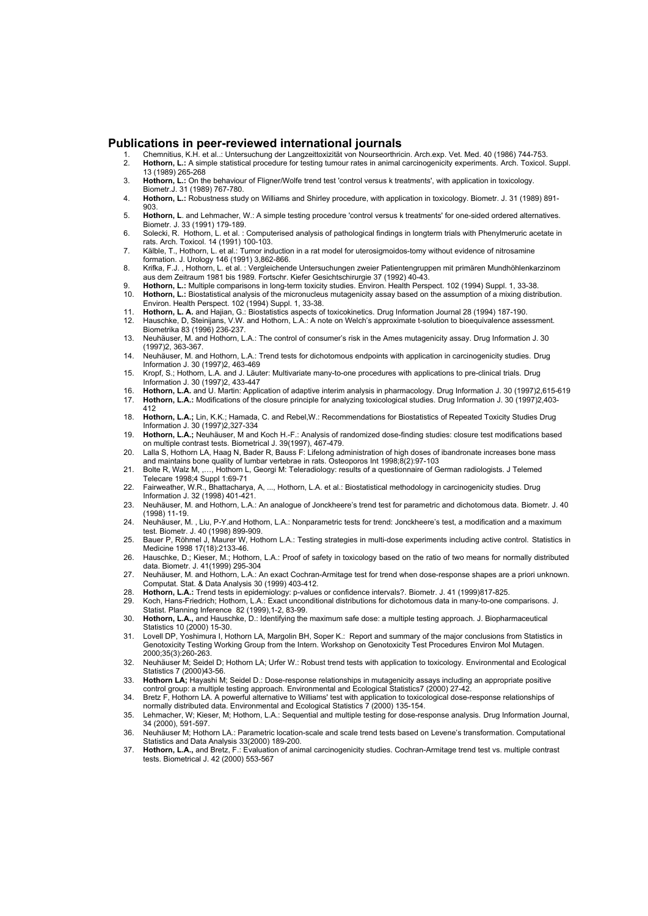#### **Publications in peer-reviewed international journals**

- 1. Chemnitius, K.H. et al..: Untersuchung der Langzeittoxizität von Nourseorthricin. Arch.exp. Vet. Med. 40 (1986) 744-753. 2. **Hothorn, L.:** A simple statistical procedure for testing tumour rates in animal carcinogenicity experiments. Arch. Toxicol. Suppl. 13 (1989) 265-268
- 3. **Hothorn, L.:** On the behaviour of Fligner/Wolfe trend test 'control versus k treatments', with application in toxicology. Biometr.J. 31 (1989) 767-780.
- 4. **Hothorn, L.:** Robustness study on Williams and Shirley procedure, with application in toxicology. Biometr. J. 31 (1989) 891- 903.
- 5. **Hothorn, L**. and Lehmacher, W.: A simple testing procedure 'control versus k treatments' for one-sided ordered alternatives. Biometr. J. 33 (1991) 179-189.
- 6. Solecki, R. Hothorn, L. et al. : Computerised analysis of pathological findings in longterm trials with Phenylmeruric acetate in rats. Arch. Toxicol. 14 (1991) 100-103.
- 7. Kälble, T., Hothorn, L. et al.: Tumor induction in a rat model for uterosigmoidos-tomy without evidence of nitrosamine formation. J. Urology 146 (1991) 3,862-866.
- 8. Krifka, F.J. , Hothorn, L. et al. : Vergleichende Untersuchungen zweier Patientengruppen mit primären Mundhöhlenkarzinom aus dem Zeitraum 1981 bis 1989. Fortschr. Kiefer Gesichtschirurgie 37 (1992) 40-43.
- 9. **Hothorn, L.:** Multiple comparisons in long-term toxicity studies. Environ. Health Perspect. 102 (1994) Suppl. 1, 33-38.
- 10. **Hothorn, L.:** Biostatistical analysis of the micronucleus mutagenicity assay based on the assumption of a mixing distribution. Environ. Health Perspect. 102 (1994) Suppl. 1, 33-38.
- 11. **Hothorn, L. A.** and Hajian, G.: Biostatistics aspects of toxicokinetics. Drug Information Journal 28 (1994) 187-190.
- 12. Hauschke, D, Steinijans, V.W. and Hothorn, L.A.: A note on Welch's approximate t-solution to bioequivalence assessment. Biometrika 83 (1996) 236-237.
- 13. Neuhäuser, M. and Hothorn, L.A.: The control of consumer's risk in the Ames mutagenicity assay. Drug Information J. 30 (1997)2, 363-367.
- 14. Neuhäuser, M. and Hothorn, L.A.: Trend tests for dichotomous endpoints with application in carcinogenicity studies. Drug Information J. 30 (1997)2, 463-469
- 15. Kropf, S.; Hothorn, L.A. and J. Läuter: Multivariate many-to-one procedures with applications to pre-clinical trials. Drug Information J. 30 (1997)2, 433-447
- 16. **Hothorn, L.A.** and U. Martin: Application of adaptive interim analysis in pharmacology. Drug Information J. 30 (1997)2,615-619 17. **Hothorn, L.A.:** Modifications of the closure principle for analyzing toxicological studies. Drug Information J. 30 (1997)2,403-
- 412 18. **Hothorn, L.A.;** Lin, K.K.; Hamada, C. and Rebel,W.: Recommendations for Biostatistics of Repeated Toxicity Studies Drug
- Information J. 30 (1997)2,327-334 19. **Hothorn, L.A.;** Neuhäuser, M and Koch H.-F.: Analysis of randomized dose-finding studies: closure test modifications based on multiple contrast tests. Biometrical J. 39(1997), 467-479.
- 20. Lalla S, Hothorn LA, Haag N, Bader R, Bauss F: Lifelong administration of high doses of ibandronate increases bone mass and maintains bone quality of lumbar vertebrae in rats. Osteoporos Int 1998;8(2):97-103
- 21. Bolte R, Walz M, ,…, Hothorn L, Georgi M: Teleradiology: results of a questionnaire of German radiologists. J Telemed Telecare 1998;4 Suppl 1:69-71
- 22. Fairweather, W.R., Bhattacharya, A, ..., Hothorn, L.A. et al.: Biostatistical methodology in carcinogenicity studies. Drug Information J. 32 (1998) 401-421.
- 23. Neuhäuser, M. and Hothorn, L.A.: An analogue of Jonckheere's trend test for parametric and dichotomous data. Biometr. J. 40 (1998) 11-19.
- 24. Neuhäuser, M. , Liu, P-Y.and Hothorn, L.A.: Nonparametric tests for trend: Jonckheere's test, a modification and a maximum test. Biometr. J. 40 (1998) 899-909.
- 25. Bauer P, Röhmel J, Maurer W, Hothorn L.A.: Testing strategies in multi-dose experiments including active control. Statistics in Medicine 1998 17(18):2133-46.
- 26. Hauschke, D.; Kieser, M.; Hothorn, L.A.: Proof of safety in toxicology based on the ratio of two means for normally distributed data. Biometr. J. 41(1999) 295-304
- 27. Neuhäuser, M. and Hothorn, L.A.: An exact Cochran-Armitage test for trend when dose-response shapes are a priori unknown. Computat. Stat. & Data Analysis 30 (1999) 403-412.
- 28. **Hothorn, L.A.:** Trend tests in epidemiology: p-values or confidence intervals?. Biometr. J. 41 (1999)817-825.
- 29. Koch, Hans-Friedrich; Hothorn, L.A.: Exact unconditional distributions for dichotomous data in many-to-one comparisons. J. Statist. Planning Inference 82 (1999),1-2, 83-99.
- 30. **Hothorn, L.A.,** and Hauschke, D.: Identifying the maximum safe dose: a multiple testing approach. J. Biopharmaceutical Statistics 10 (2000) 15-30.
- 31. Lovell DP, Yoshimura I, Hothorn LA, Margolin BH, Soper K.: Report and summary of the major conclusions from Statistics in Genotoxicity Testing Working Group from the Intern. Workshop on Genotoxicity Test Procedures Environ Mol Mutagen. 2000;35(3):260-263.
- 32. Neuhäuser M; Seidel D; Hothorn LA; Urfer W.: Robust trend tests with application to toxicology. Environmental and Ecological Statistics 7 (2000)43-56.
- 33. **Hothorn LA;** Hayashi M; Seidel D.: Dose-response relationships in mutagenicity assays including an appropriate positive control group: a multiple testing approach. Environmental and Ecological Statistics7 (2000) 27-42.
- 34. Bretz F, Hothorn LA. A powerful alternative to Williams' test with application to toxicological dose-response relationships of normally distributed data. Environmental and Ecological Statistics 7 (2000) 135-154.
- 35. Lehmacher, W; Kieser, M; Hothorn, L.A.: Sequential and multiple testing for dose-response analysis. Drug Information Journal, 34 (2000), 591-597.
- 36. Neuhäuser M; Hothorn LA.: Parametric location-scale and scale trend tests based on Levene's transformation. Computational Statistics and Data Analysis 33(2000) 189-200.
- 37. **Hothorn, L.A.,** and Bretz, F.: Evaluation of animal carcinogenicity studies. Cochran-Armitage trend test vs. multiple contrast tests. Biometrical J. 42 (2000) 553-567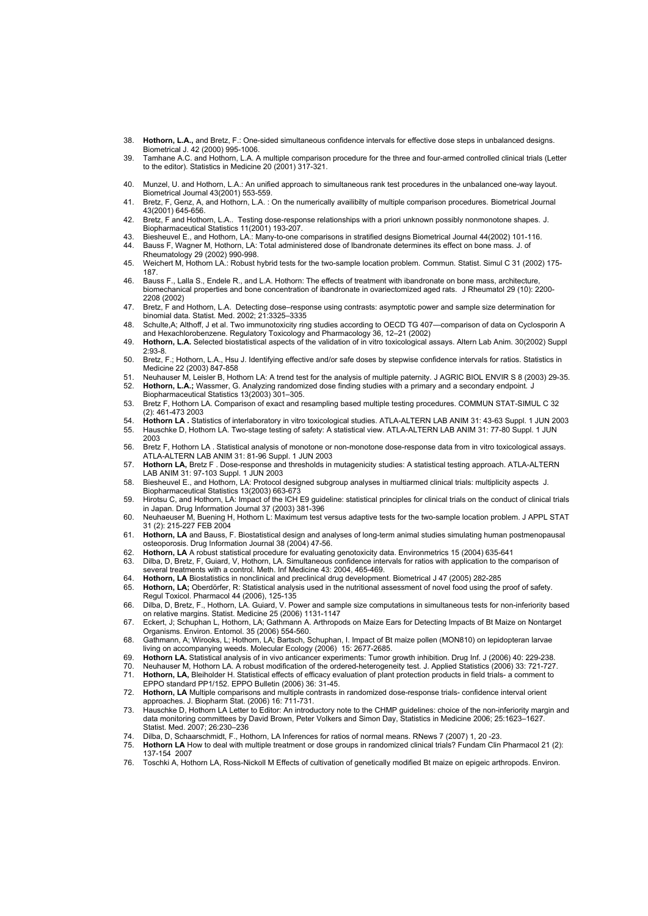- 38. **Hothorn, L.A.,** and Bretz, F.: One-sided simultaneous confidence intervals for effective dose steps in unbalanced designs. Biometrical J. 42 (2000) 995-1006.
- 39. Tamhane A.C. and Hothorn, L.A. A multiple comparison procedure for the three and four-armed controlled clinical trials (Letter to the editor). Statistics in Medicine 20 (2001) 317-321.
- 40. Munzel, U. and Hothorn, L.A.: An unified approach to simultaneous rank test procedures in the unbalanced one-way layout. Biometrical Journal 43(2001) 553-559.
- 41. Bretz, F, Genz, A, and Hothorn, L.A. : On the numerically availibilty of multiple comparison procedures. Biometrical Journal 43(2001) 645-656.
- 42. Bretz, F and Hothorn, L.A.. Testing dose-response relationships with a priori unknown possibly nonmonotone shapes. J. Biopharmaceutical Statistics 11(2001) 193-207.
- 43. Biesheuvel E., and Hothorn, LA.: Many-to-one comparisons in stratified designs Biometrical Journal 44(2002) 101-116.
- 44. Bauss F, Wagner M, Hothorn, LA: Total administered dose of Ibandronate determines its effect on bone mass. J. of Rheumatology 29 (2002) 990-998.
- 45. Weichert M, Hothorn LA.: Robust hybrid tests for the two-sample location problem. Commun. Statist. Simul C 31 (2002) 175- 187.
- 46. Bauss F., Lalla S., Endele R., and L.A. Hothorn: The effects of treatment with ibandronate on bone mass, architecture, biomechanical properties and bone concentration of ibandronate in ovariectomized aged rats. J Rheumatol 29 (10): 2200- 2208 (2002)
- 47. Bretz, F and Hothorn, L.A. Detecting dose–response using contrasts: asymptotic power and sample size determination for binomial data. Statist. Med. 2002; 21:3325–3335
- 48. Schulte,A; Althoff, J et al. Two immunotoxicity ring studies according to OECD TG 407—comparison of data on Cyclosporin A and Hexachlorobenzene. Regulatory Toxicology and Pharmacology 36, 12–21 (2002)
- 49. **Hothorn, L.A.** Selected biostatistical aspects of the validation of in vitro toxicological assays. Altern Lab Anim. 30(2002) Suppl 2:93-8.
- 50. Bretz, F.; Hothorn, L.A., Hsu J. Identifying effective and/or safe doses by stepwise confidence intervals for ratios. Statistics in Medicine 22 (2003) 847-858
- 51. Neuhauser M, Leisler B, Hothorn LA: A trend test for the analysis of multiple paternity. J AGRIC BIOL ENVIR S 8 (2003) 29-35. 52. **Hothorn, L.A.;** Wassmer, G. Analyzing randomized dose finding studies with a primary and a secondary endpoint. J Biopharmaceutical Statistics 13(2003) 301–305.
- 53. Bretz F, Hothorn LA. Comparison of exact and resampling based multiple testing procedures. COMMUN STAT-SIMUL C 32 (2): 461-473 2003
- 54. **Hothorn LA .** Statistics of interlaboratory in vitro toxicological studies. ATLA-ALTERN LAB ANIM 31: 43-63 Suppl. 1 JUN 2003
- 55. Hauschke D, Hothorn LA. Two-stage testing of safety: A statistical view. ATLA-ALTERN LAB ANIM 31: 77-80 Suppl. 1 JUN 2003
- 56. Bretz F, Hothorn LA . Statistical analysis of monotone or non-monotone dose-response data from in vitro toxicological assays. ATLA-ALTERN LAB ANIM 31: 81-96 Suppl. 1 JUN 2003
- 57. **Hothorn LA,** Bretz F . Dose-response and thresholds in mutagenicity studies: A statistical testing approach. ATLA-ALTERN LAB ANIM 31: 97-103 Suppl. 1 JUN 2003
- 58. Biesheuvel E., and Hothorn, LA: Protocol designed subgroup analyses in multiarmed clinical trials: multiplicity aspects J. Biopharmaceutical Statistics 13(2003) 663-673
- 59. Hirotsu C, and Hothorn, LA: Impact of the ICH E9 guideline: statistical principles for clinical trials on the conduct of clinical trials in Japan. Drug Information Journal 37 (2003) 381-396
- 60. Neuhaeuser M, Buening H, Hothorn L: Maximum test versus adaptive tests for the two-sample location problem. J APPL STAT 31 (2): 215-227 FEB 2004
- 61. **Hothorn, LA** and Bauss, F. Biostatistical design and analyses of long-term animal studies simulating human postmenopausal osteoporosis. Drug Information Journal 38 (2004) 47-56.
- 62. **Hothorn, LA** A robust statistical procedure for evaluating genotoxicity data. Environmetrics 15 (2004) 635-641
- 63. Dilba, D, Bretz, F, Guiard, V, Hothorn, LA. Simultaneous confidence intervals for ratios with application to the comparison of several treatments with a control. Meth. Inf Medicine 43: 2004, 465-469.
- 64. **Hothorn, LA** Biostatistics in nonclinical and preclinical drug development. Biometrical J 47 (2005) 282-285
- 65. **Hothorn, LA;** Oberdörfer, R: Statistical analysis used in the nutritional assessment of novel food using the proof of safety. Regul Toxicol. Pharmacol 44 (2006), 125-135
- 66. Dilba, D, Bretz, F., Hothorn, LA. Guiard, V. Power and sample size computations in simultaneous tests for non-inferiority based on relative margins. Statist. Medicine 25 (2006) 1131-1147
- 67. Eckert, J; Schuphan L, Hothorn, LA; Gathmann A. Arthropods on Maize Ears for Detecting Impacts of Bt Maize on Nontarget Organisms. Environ. Entomol. 35 (2006) 554-560.
- 68. Gathmann, A; Wirooks, L; Hothorn, LA; Bartsch, Schuphan, I. Impact of Bt maize pollen (MON810) on lepidopteran larvae living on accompanying weeds. Molecular Ecology (2006) 15: 2677-2685.
- 69. **Hothorn LA.** Statistical analysis of in vivo anticancer experiments: Tumor growth inhibition. Drug Inf. J (2006) 40: 229-238.
- 70. Neuhauser M, Hothorn LA. A robust modification of the ordered-heterogeneity test. J. Applied Statistics (2006) 33: 721-727. 71. **Hothorn, LA,** Bleiholder H. Statistical effects of efficacy evaluation of plant protection products in field trials- a comment to
- EPPO standard PP1/152. EPPO Bulletin (2006) 36: 31-45.
- 72. **Hothorn, LA** Multiple comparisons and multiple contrasts in randomized dose-response trials- confidence interval orient approaches. J. Biopharm Stat. (2006) 16: 711-731.
- 73. Hauschke D, Hothorn LA Letter to Editor: An introductory note to the CHMP guidelines: choice of the non-inferiority margin and data monitoring committees by David Brown, Peter Volkers and Simon Day, Statistics in Medicine 2006; 25:1623–1627. Statist. Med. 2007; 26:230–236
- 74. Dilba, D, Schaarschmidt, F., Hothorn, LA Inferences for ratios of normal means. RNews 7 (2007) 1, 20 -23.
- 75. **Hothorn LA** How to deal with multiple treatment or dose groups in randomized clinical trials? Fundam Clin Pharmacol 21 (2): 137-154 2007
- 76. Toschki A, Hothorn LA, Ross-Nickoll M Effects of cultivation of genetically modified Bt maize on epigeic arthropods. Environ.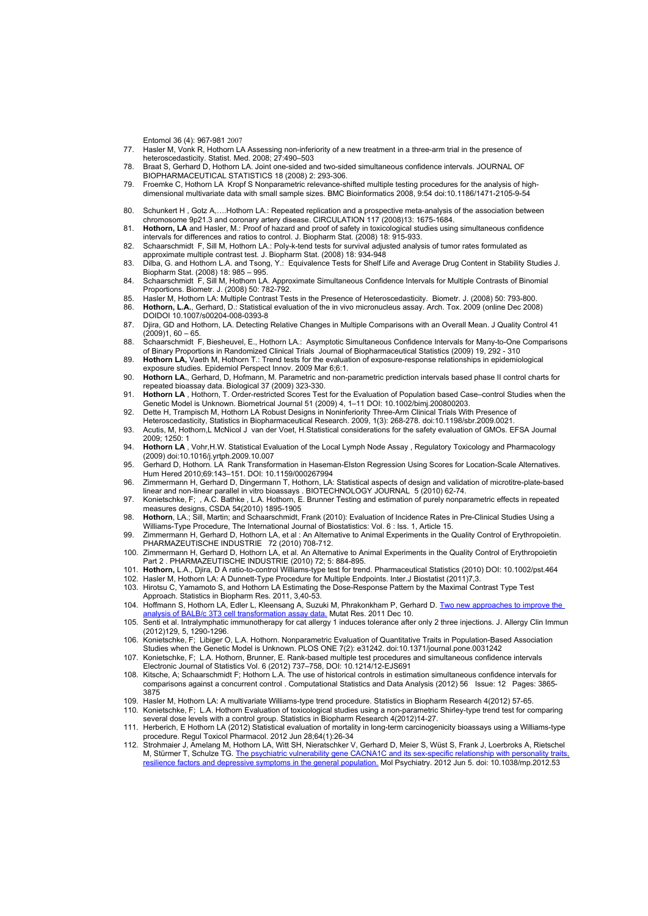Entomol 36 (4): 967-981 2007

- 77. Hasler M, Vonk R, Hothorn LA Assessing non-inferiority of a new treatment in a three-arm trial in the presence of heteroscedasticity. Statist. Med. 2008; 27:490–503
- 78. Braat S, Gerhard D, Hothorn LA. Joint one-sided and two-sided simultaneous confidence intervals. JOURNAL OF BIOPHARMACEUTICAL STATISTICS 18 (2008) 2: 293-306.
- 79. Froemke C, Hothorn LA Kropf S Nonparametric relevance-shifted multiple testing procedures for the analysis of highdimensional multivariate data with small sample sizes. BMC Bioinformatics 2008, 9:54 doi:10.1186/1471-2105-9-54
- 80. Schunkert H, Gotz A,....Hothorn LA.: Repeated replication and a prospective meta-analysis of the association between chromosome 9p21.3 and coronary artery disease. CIRCULATION 117 (2008)13: 1675-1684.
- 81. **Hothorn, LA** and Hasler, M.: Proof of hazard and proof of safety in toxicological studies using simultaneous confidence intervals for differences and ratios to control. J. Biopharm Stat. (2008) 18: 915-933.
- 82. Schaarschmidt F, Sill M, Hothorn LA.: Poly-k-tend tests for survival adjusted analysis of tumor rates formulated as approximate multiple contrast test. J. Biopharm Stat. (2008) 18: 934-948
- 83. Dilba, G. and Hothorn L.A. and Tsong, Y.: Equivalence Tests for Shelf Life and Average Drug Content in Stability Studies J. Biopharm Stat. (2008) 18: 985 – 995.
- 84. Schaarschmidt F, Sill M, Hothorn LA. Approximate Simultaneous Confidence Intervals for Multiple Contrasts of Binomial Proportions. Biometr. J. (2008) 50: 782-792.
- 85. Hasler M, Hothorn LA: Multiple Contrast Tests in the Presence of Heteroscedasticity. Biometr. J. (2008) 50: 793-800. 86. **Hothorn, L.A.**, Gerhard, D.: Statistical evaluation of the in vivo micronucleus assay. Arch. Tox. 2009 (online Dec 2008) DOIDOI 10.1007/s00204-008-0393-8
- 87. Djira, GD and Hothorn, LA. Detecting Relative Changes in Multiple Comparisons with an Overall Mean. J Quality Control 41  $(2009)1, 60 - 65.$
- 88. Schaarschmidt F, Biesheuvel, E., Hothorn LA.: Asymptotic Simultaneous Confidence Intervals for Many-to-One Comparisons of Binary Proportions in Randomized Clinical Trials Journal of Biopharmaceutical Statistics (2009) 19, 292 - 310
- 89. **Hothorn LA,** Vaeth M, Hothorn T.: Trend tests for the evaluation of exposure-response relationships in epidemiological exposure studies. Epidemiol Perspect Innov. 2009 Mar 6;6:1.
- 90. **Hothorn LA.**, Gerhard, D, Hofmann, M. Parametric and non-parametric prediction intervals based phase II control charts for repeated bioassay data. Biological 37 (2009) 323-330.
- 91. **Hothorn LA** , Hothorn, T. Order-restricted Scores Test for the Evaluation of Population based Case–control Studies when the Genetic Model is Unknown. Biometrical Journal 51 (2009) 4, 1–11 DOI: 10.1002/bimj.200800203.
- 92. Dette H, Trampisch M, Hothorn LA Robust Designs in Noninferiority Three-Arm Clinical Trials With Presence of
- Heteroscedasticity, Statistics in Biopharmaceutical Research. 2009, 1(3): 268-278. doi:10.1198/sbr.2009.0021.
- 93. Acutis, M, Hothorn,L McNicol J van der Voet, H.Statistical considerations for the safety evaluation of GMOs. EFSA Journal 2009; 1250: 1
- 94. **Hothorn LA** , Vohr,H.W. Statistical Evaluation of the Local Lymph Node Assay , Regulatory Toxicology and Pharmacology (2009) doi:10.1016/j.yrtph.2009.10.007
- 95. Gerhard D, Hothorn. LA Rank Transformation in Haseman-Elston Regression Using Scores for Location-Scale Alternatives. Hum Hered 2010;69:143–151. DOI: 10.1159/000267994
- 96. Zimmermann H, Gerhard D, Dingermann T, Hothorn, LA: Statistical aspects of design and validation of microtitre-plate-based linear and non-linear parallel in vitro bioassays . BIOTECHNOLOGY JOURNAL 5 (2010) 62-74.
- 97. Konietschke, F; , A.C. Bathke , L.A. Hothorn, E. Brunner Testing and estimation of purely nonparametric effects in repeated measures designs, CSDA 54(2010) 1895-1905
- 98. **Hothorn**, LA.; Sill, Martin; and Schaarschmidt, Frank (2010): Evaluation of Incidence Rates in Pre-Clinical Studies Using a Williams-Type Procedure, The International Journal of Biostatistics: Vol. 6 : Iss. 1, Article 15.
- 99. Zimmermann H, Gerhard D, Hothorn LA, et al : An Alternative to Animal Experiments in the Quality Control of Erythropoietin. PHARMAZEUTISCHE INDUSTRIE 72 (2010) 708-712.
- 100. Zimmermann H, Gerhard D, Hothorn LA, et al. An Alternative to Animal Experiments in the Quality Control of Erythropoietin Part 2 . PHARMAZEUTISCHE INDUSTRIE (2010) 72; 5: 884-895.
- 101. **Hothorn,** L.A., Djira, D A ratio-to-control Williams-type test for trend. Pharmaceutical Statistics (2010) DOI: 10.1002/pst.464
- 102. Hasler M, Hothorn LA: A Dunnett-Type Procedure for Multiple Endpoints. Inter.J Biostatist (2011)7,3.
- 103. Hirotsu C, Yamamoto S, and Hothorn LA Estimating the Dose-Response Pattern by the Maximal Contrast Type Test Approach. Statistics in Biopharm Res. 2011, 3,40-53.
- 104. Hoffmann S, Hothorn LA, Edler L, Kleensang A, Suzuki M, Phrakonkham P, Gerhard D. Two new approaches to improve the [analysis of BALB/c 3T3 cell transformation assay data.](http://www.ncbi.nlm.nih.gov/pubmed/22178130) Mutat Res. 2011 Dec 10.
- 105. Senti et al. Intralymphatic immunotherapy for cat allergy 1 induces tolerance after only 2 three injections. J. Allergy Clin Immun (2012)129, 5, 1290-1296.
- 106. Konietschke, F; Libiger O, L.A. Hothorn. Nonparametric Evaluation of Quantitative Traits in Population-Based Association Studies when the Genetic Model is Unknown. PLOS ONE 7(2): e31242. doi:10.1371/journal.pone.0031242
- 107. Konietschke, F; L.A. Hothorn, Brunner, E. Rank-based multiple test procedures and simultaneous confidence intervals Electronic Journal of Statistics Vol. 6 (2012) 737–758, DOI: 10.1214/12-EJS691
- 108. Kitsche, A; Schaarschmidt F; Hothorn L.A. The use of historical controls in estimation simultaneous confidence intervals for comparisons against a concurrent control . Computational Statistics and Data Analysis (2012) 56 Issue: 12 Pages: 3865- 3875
- 109. Hasler M, Hothorn LA: A multivariate Williams-type trend procedure. Statistics in Biopharm Research 4(2012) 57-65.
- 110. Konietschke, F; L.A. Hothorn Evaluation of toxicological studies using a non-parametric Shirley-type trend test for comparing several dose levels with a control group. Statistics in Biopharm Research 4(2012)14-27.
- 111. Herberich, E Hothorn LA (2012) Statistical evaluation of mortality in long-term carcinogenicity bioassays using a Williams-type procedure. Regul Toxicol Pharmacol. 2012 Jun 28;64(1):26-34
- 112. Strohmaier J, Amelang M, Hothorn LA, Witt SH, Nieratschker V, Gerhard D, Meier S, Wüst S, Frank J, Loerbroks A, Rietschel M, Stürmer T, Schulze TG. The psychiatric vulnerability gene CACNA1C and its sex-specific relations [resilience factors and depressive symptoms in the general population.](http://www.ncbi.nlm.nih.gov/pubmed/22665259) Mol Psychiatry. 2012 Jun 5. doi: 10.1038/mp.2012.53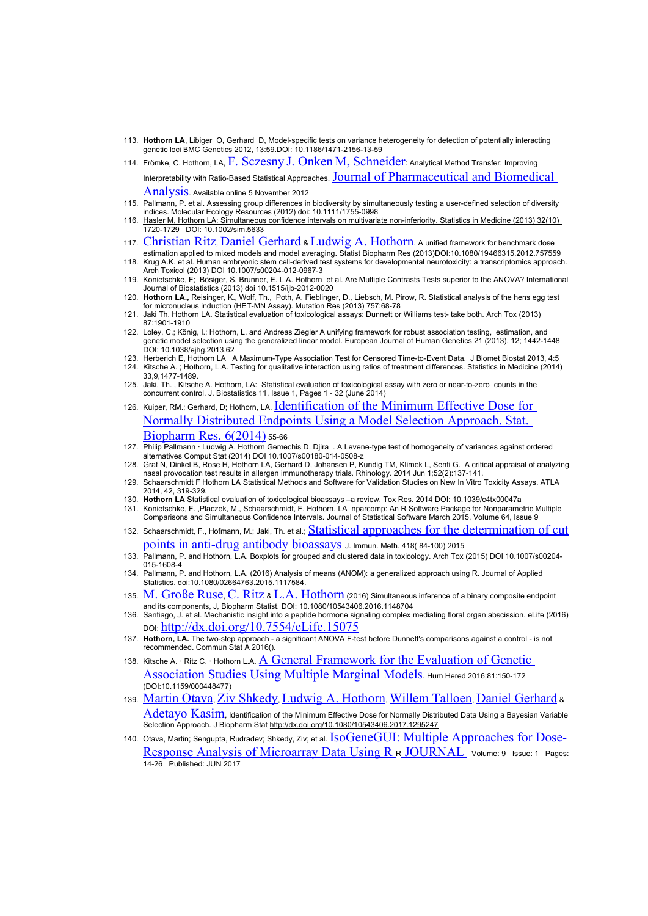- 113. **Hothorn LA**, Libiger O, Gerhard D, Model-specific tests on variance heterogeneity for detection of potentially interacting genetic loci BMC Genetics 2012, 13:59.DOI: 10.1186/1471-2156-13-59
- 114. Frömke, C. Hothorn, LA, [F. Sczesny](http://www.sciencedirect.com/science/article/pii/S0731708512005729?v=s5) [J. Onken](http://www.sciencedirect.com/science/article/pii/S0731708512005729?v=s5) M. Schneider: Analytical Method Transfer: Improving Interpretability with Ratio-Based Statistical Approaches. [Journal of Pharmaceutical and Biomedical](http://www.sciencedirect.com/science/journal/07317085)   $\rm AnalVsis$ . Available online 5 November 2012
- 115. Pallmann, P. et al. Assessing group differences in biodiversity by simultaneously testing a user-defined selection of diversity indices. Molecular Ecology Resources (2012) doi: 10.1111/1755-0998
- 116. [Hasler M, Hothorn LA: Simultaneous confidence intervals on multivariate non-inferiority. Statistics in Medicine \(2013\) 32\(10\)](http://www.tandfonline.com/doi/full/10.1080/19466315.2012.757559)   [1720-1729 DOI: 10.1002/sim.5633](http://www.tandfonline.com/doi/full/10.1080/19466315.2012.757559)
- 117. [Christian Ritz](http://www.tandfonline.com/action/doSearch?action=runSearch&type=advanced&result=true&prevSearch=%2Bauthorsfield%3A(Ritz%2C+Christian)), [Daniel Gerhard](http://www.tandfonline.com/action/doSearch?action=runSearch&type=advanced&result=true&prevSearch=%2Bauthorsfield%3A(Gerhard%2C+Daniel)) & [Ludwig A. Hothorn](http://www.tandfonline.com/action/doSearch?action=runSearch&type=advanced&result=true&prevSearch=%2Bauthorsfield%3A(Hothorn%2C+Ludwig+A.)). A unified framework for benchmark dose
- estimation applied to mixed models and model averaging. Statist Biopharm Res (2013)DOI:10.1080/19466315.2012.757559 118. Krug A.K. et al. Human embryonic stem cell-derived test systems for developmental neurotoxicity: a transcriptomics approach. Arch Toxicol (2013) DOI 10.1007/s00204-012-0967-3
- 119. Konietschke, F; Bösiger, S, Brunner, E. L.A. Hothorn et al. Are Multiple Contrasts Tests superior to the ANOVA? International Journal of Biostatistics (2013) doi 10.1515/ijb-2012-0020
- 120. **Hothorn LA.,** Reisinger, K., Wolf, Th., Poth, A. Fieblinger, D., Liebsch, M. Pirow, R. Statistical analysis of the hens egg test for micronucleus induction (HET-MN Assay). Mutation Res (2013) 757:68-78
- 121. Jaki Th, Hothorn LA. Statistical evaluation of toxicological assays: Dunnett or Williams test- take both. Arch Tox (2013) 87:1901-1910
- 122. Loley, C.; König, I.; Hothorn, L. and Andreas Ziegler A unifying framework for robust association testing, estimation, and genetic model selection using the generalized linear model. European Journal of Human Genetics 21 (2013), 12; 1442-1448 DOI: 10.1038/ejhg.2013.62
- 123. Herberich E, Hothorn LA A Maximum-Type Association Test for Censored Time-to-Event Data. J Biomet Biostat 2013, 4:5
- 124. Kitsche A. ; Hothorn, L.A. Testing for qualitative interaction using ratios of treatment differences. Statistics in Medicine (2014) 33,9,1477-1489.
- 125. Jaki, Th. , Kitsche A. Hothorn, LA: Statistical evaluation of toxicological assay with zero or near-to-zero counts in the concurrent control. J. Biostatistics 11, Issue 1, Pages 1 - 32 (June 2014)
- 126. Kuiper, RM.; Gerhard, D; Hothorn, LA. **Identification of the Minimum Effective Dose for** [Normally Distributed Endpoints Using a Model Selection Approach. Stat.](http://shan01.tib.uni-hannover.de/han/WebofScience/apps.webofknowledge.com/full_record.do?product=WOS&search_mode=GeneralSearch&qid=1&SID=R1jmfDpCS91wbTWSmno&page=1&doc=1)  [Biopharm Res. 6\(2014\)](http://shan01.tib.uni-hannover.de/han/WebofScience/apps.webofknowledge.com/full_record.do?product=WOS&search_mode=GeneralSearch&qid=1&SID=R1jmfDpCS91wbTWSmno&page=1&doc=1) 55-66
- 127. Philip Pallmann · Ludwig A. Hothorn Gemechis D. Djira . A Levene-type test of homogeneity of variances against ordered alternatives Comput Stat (2014) DOI 10.1007/s00180-014-0508-z
- 128. Graf N, Dinkel B, Rose H, Hothorn LA, Gerhard D, Johansen P, Kundig TM, Klimek L, Senti G. A critical appraisal of analyzing nasal provocation test results in allergen immunotherapy trials. Rhinology. 2014 Jun 1;52(2):137-141.
- 129. Schaarschmidt F Hothorn LA Statistical Methods and Software for Validation Studies on New In Vitro Toxicity Assays. ATLA 2014, 42, 319-329.
- 130. **Hothorn LA** Statistical evaluation of toxicological bioassays –a review. Tox Res. 2014 DOI: 10.1039/c4tx00047a 131. Konietschke, F. ,Placzek, M., Schaarschmidt, F. Hothorn. LA nparcomp: An R Software Package for Nonparametric Multiple Comparisons and Simultaneous Confidence Intervals. Journal of Statistical Software March 2015, Volume 64, Issue 9
- 132. Schaarschmidt, F., Hofmann, M.; Jaki, Th. et al.; [Statistical approaches for the determination of cut](http://apps.webofknowledge.com/full_record.do?product=UA&search_mode=GeneralSearch&qid=1&SID=X2XwyQwwViNK993wgnG&page=1&doc=5) [points in anti-drug antibody bioassays](http://apps.webofknowledge.com/full_record.do?product=UA&search_mode=GeneralSearch&qid=1&SID=X2XwyQwwViNK993wgnG&page=1&doc=5) J. Immun. Meth. 418(84-100) 2015
- 133. Pallmann, P. and Hothorn, L.A. Boxplots for grouped and clustered data in toxicology. Arch Tox (2015) DOI 10.1007/s00204- 015-1608-4
- 134. Pallmann, P. and Hothorn, L.A. (2016) Analysis of means (ANOM): a generalized approach using R. Journal of Applied Statistics. doi:10.1080/02664763.2015.1117584.
- 135. [M. Große Ruse](http://www.tandfonline.com/author/Gro%C3%9Fe+Ruse%2C+M), [C. Ritz](http://www.tandfonline.com/author/Ritz%2C+C) & [L.A. Hothorn](http://www.tandfonline.com/author/Hothorn%2C+LA) (2016) Simultaneous inference of a binary composite endpoint and its components, J, Biopharm Statist. DOI: 10.1080/10543406.2016.1148704
- 136. Santiago, J. et al. Mechanistic insight into a peptide hormone signaling complex mediating floral organ abscission. eLife (2016) DOI: <http://dx.doi.org/10.7554/eLife.15075>
- 137. **Hothorn, LA.** The two-step approach a significant ANOVA F-test before Dunnett's comparisons against a control is not recommended. Commun Stat A 2016().
- 138. Kitsche A. · Ritz C. · Hothorn L.A. **A General Framework for the Evaluation of Genetic** [Association Studies Using Multiple Marginal Models](http://www.karger.com.3032.shan01.han.tib.eu/Article/FullText/448477). Hum Hered 2016;81:150-172 (DOI:10.1159/000448477)
- 139. [Martin Otava](http://www.tandfonline.com/author/Otava%2C+Martin), [Ziv Shkedy](http://www.tandfonline.com/author/Shkedy%2C+Ziv), [Ludwig A. Hothorn](http://www.tandfonline.com/author/Hothorn%2C+Ludwig+A), [Willem Talloen](http://www.tandfonline.com/author/Talloen%2C+Willem), [Daniel Gerhard](http://www.tandfonline.com/author/Gerhard%2C+Daniel) &  ${\rm Adet}$ ay ${\rm o~K}$ a ${\rm sim}$ , Identification of the Minimum Effective Dose for Normally Distributed Data Using a Bayesian Variable Selection Approach. J Biopharm Stat <http://dx.doi.org/10.1080/10543406.2017.1295247>
- 140. Otava, Martin; Sengupta, Rudradev; Shkedy, Ziv; et al. **ISOGeneGUI: Multiple Approaches for Dose-**[Response Analysis of Microarray Data Using R](http://apps-1webofknowledge-1com-100707emt2b01.shan01.han.tib.eu/full_record.do?product=WOS&search_mode=GeneralSearch&qid=17&SID=N2IhmGWCQU7mfFqPnbF&page=1&doc=1) R [JOURNAL](javascript:;) Volume: 9 Issue: 1 Pages: 14-26 Published: JUN 2017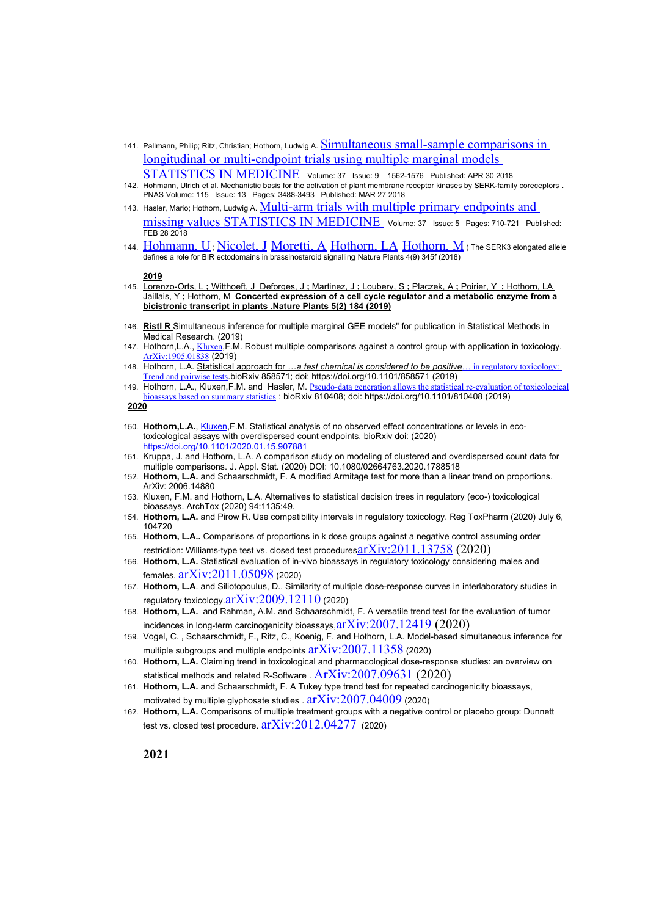- 141. Pallmann, Philip; Ritz, Christian; Hothorn, Ludwig A. **Simultaneous small-sample comparisons in** [longitudinal or multi-endpoint trials using multiple marginal models](http://apps-1webofknowledge-1com-100707e930950.shan01.han.tib.eu/full_record.do?product=WOS&search_mode=GeneralSearch&qid=1&SID=D2RgY5WvlXI7l5gPOFA&page=1&doc=1)
- STATISTICS IN MEDICINE Volume: 37 Issue: 9 1562-1576 Published: APR 30 2018 142. Hohmann, Ulrich et al. Mechanistic basis for the activation of plant membrane receptor kinases by SERK-family coreceptors. PNAS Volume: 115 Issue: 13 Pages: 3488-3493 Published: MAR 27 2018
- 143. Hasler, Mario; Hothorn, Ludwig A. Multi-arm trials with multiple primary endpoints and missing values [STATISTICS IN MEDICINE](javascript:;) Volume: 37 Issue: 5 Pages: 710-721 Published: FEB 28 2018
- 144. [Hohmann, U](http://apps-1webofknowledge-1com-100707e430194.shan01.han.tib.eu/DaisyOneClickSearch.do?product=WOS&search_mode=DaisyOneClickSearch&colName=WOS&SID=E4emCPkjMWVMSzrpp9V&author_name=Hohmann,%20U&dais_id=1796296&excludeEventConfig=ExcludeIfFromFullRecPage); [Nicolet, J](http://apps-1webofknowledge-1com-100707e430194.shan01.han.tib.eu/DaisyOneClickSearch.do?product=WOS&search_mode=DaisyOneClickSearch&colName=WOS&SID=E4emCPkjMWVMSzrpp9V&author_name=Nicolet,%20J&dais_id=4510340&excludeEventConfig=ExcludeIfFromFullRecPage) [Moretti, A](http://apps-1webofknowledge-1com-100707e430194.shan01.han.tib.eu/DaisyOneClickSearch.do?product=WOS&search_mode=DaisyOneClickSearch&colName=WOS&SID=E4emCPkjMWVMSzrpp9V&author_name=Moretti,%20A&dais_id=1813352&excludeEventConfig=ExcludeIfFromFullRecPage) [Hothorn, LA](http://apps-1webofknowledge-1com-100707e430194.shan01.han.tib.eu/DaisyOneClickSearch.do?product=WOS&search_mode=DaisyOneClickSearch&colName=WOS&SID=E4emCPkjMWVMSzrpp9V&author_name=Hothorn,%20LA&dais_id=247730&excludeEventConfig=ExcludeIfFromFullRecPage) [Hothorn, M](http://apps-1webofknowledge-1com-100707e430194.shan01.han.tib.eu/DaisyOneClickSearch.do?product=WOS&search_mode=DaisyOneClickSearch&colName=WOS&SID=E4emCPkjMWVMSzrpp9V&author_name=Hothorn,%20M&dais_id=1142994&excludeEventConfig=ExcludeIfFromFullRecPage) ) The SERK3 elongated allele defines a role for BIR ectodomains in brassinosteroid signalling Nature Plants 4(9) 345f (2018)

**2019**

- 145. [Lorenzo-Orts, L](http://apps-1webofknowledge-1com-100707e430194.shan01.han.tib.eu/DaisyOneClickSearch.do?product=WOS&search_mode=DaisyOneClickSearch&colName=WOS&SID=E4emCPkjMWVMSzrpp9V&author_name=Lorenzo-Orts,%20L&dais_id=9434325&excludeEventConfig=ExcludeIfFromFullRecPage) **;** [Witthoeft, J](http://apps-1webofknowledge-1com-100707e430194.shan01.han.tib.eu/DaisyOneClickSearch.do?product=WOS&search_mode=DaisyOneClickSearch&colName=WOS&SID=E4emCPkjMWVMSzrpp9V&author_name=Witthoeft,%20J&dais_id=29842821&excludeEventConfig=ExcludeIfFromFullRecPage) [Deforges, J](http://apps-1webofknowledge-1com-100707e430194.shan01.han.tib.eu/DaisyOneClickSearch.do?product=WOS&search_mode=DaisyOneClickSearch&colName=WOS&SID=E4emCPkjMWVMSzrpp9V&author_name=Deforges,%20J&dais_id=4083659&excludeEventConfig=ExcludeIfFromFullRecPage) **;** [Martinez, J](http://apps-1webofknowledge-1com-100707e430194.shan01.han.tib.eu/DaisyOneClickSearch.do?product=WOS&search_mode=DaisyOneClickSearch&colName=WOS&SID=E4emCPkjMWVMSzrpp9V&author_name=Martinez,%20J&dais_id=19788822&excludeEventConfig=ExcludeIfFromFullRecPage) **;** [Loubery, S](http://apps-1webofknowledge-1com-100707e430194.shan01.han.tib.eu/DaisyOneClickSearch.do?product=WOS&search_mode=DaisyOneClickSearch&colName=WOS&SID=E4emCPkjMWVMSzrpp9V&author_name=Loubery,%20S&dais_id=2691812&excludeEventConfig=ExcludeIfFromFullRecPage) **;** [Placzek, A](http://apps-1webofknowledge-1com-100707e430194.shan01.han.tib.eu/DaisyOneClickSearch.do?product=WOS&search_mode=DaisyOneClickSearch&colName=WOS&SID=E4emCPkjMWVMSzrpp9V&author_name=Placzek,%20A&dais_id=14032981&excludeEventConfig=ExcludeIfFromFullRecPage) **;** [Poirier, Y](http://apps-1webofknowledge-1com-100707e430194.shan01.han.tib.eu/DaisyOneClickSearch.do?product=WOS&search_mode=DaisyOneClickSearch&colName=WOS&SID=E4emCPkjMWVMSzrpp9V&author_name=Poirier,%20Y&dais_id=235353&excludeEventConfig=ExcludeIfFromFullRecPage) **;** [Hothorn, LA](http://apps-1webofknowledge-1com-100707e430194.shan01.han.tib.eu/DaisyOneClickSearch.do?product=WOS&search_mode=DaisyOneClickSearch&colName=WOS&SID=E4emCPkjMWVMSzrpp9V&author_name=Hothorn,%20LA&dais_id=247730&excludeEventConfig=ExcludeIfFromFullRecPage) [Jaillais, Y](http://apps-1webofknowledge-1com-100707e430194.shan01.han.tib.eu/DaisyOneClickSearch.do?product=WOS&search_mode=DaisyOneClickSearch&colName=WOS&SID=E4emCPkjMWVMSzrpp9V&author_name=Jaillais,%20Y&dais_id=1415223&excludeEventConfig=ExcludeIfFromFullRecPage) **;** [Hothorn, M](http://apps-1webofknowledge-1com-100707e430194.shan01.han.tib.eu/DaisyOneClickSearch.do?product=WOS&search_mode=DaisyOneClickSearch&colName=WOS&SID=E4emCPkjMWVMSzrpp9V&author_name=Hothorn,%20M&dais_id=1142994&excludeEventConfig=ExcludeIfFromFullRecPage) **Concerted expression of a cell cycle regulator and a metabolic enzyme from a bicistronic transcript in plants .Nature Plants 5(2) 184 (2019)**
- 146. **Ristl R** Simultaneous inference for multiple marginal GEE models" for publication in Statistical Methods in Medical Research. (2019)
- 147. Hothorn, L.A., [Kluxen](https://arxiv.org/search/stat?searchtype=author&query=Kluxen%2C+F+M), F.M. Robust multiple comparisons against a control group with application in toxicology. [ArXiv:1905.01838](https://arxiv.org/abs/1905.01838) (2019)
- 148. Hothorn, L.A. [Statistical approach for …](https://www.biorxiv.org/content/10.1101/858571v1) *[a test chemical is considered to be positive](https://www.biorxiv.org/content/10.1101/858571v1)* [… in regulatory toxicology:](https://www.biorxiv.org/content/10.1101/858571v1)  [Trend and pairwise tests](https://www.biorxiv.org/content/10.1101/858571v1).bioRxiv 858571; doi: https://doi.org/10.1101/858571 (2019)
- 149. Hothorn, L.A., Kluxen, F.M. and Hasler, M. [Pseudo-data generation allows the statistical re-evaluation of toxicological](https://www.biorxiv.org/content/10.1101/810408v1) [bioassays based on summary statistics](https://www.biorxiv.org/content/10.1101/810408v1) : bioRxiv 810408; doi: https://doi.org/10.1101/810408 (2019)

 **20 20**

- 150. **Hothorn,L.A.**, [Kluxen,](https://arxiv.org/search/stat?searchtype=author&query=Kluxen%2C+F+M)F.M. Statistical analysis of no observed effect concentrations or levels in ecotoxicological assays with overdispersed count endpoints. bioRxiv doi: (2020) https://doi.org/10.1101/2020.01.15.907881
- 151. Kruppa, J. and Hothorn, L.A. A comparison study on modeling of clustered and overdispersed count data for multiple comparisons. J. Appl. Stat. (2020) DOI: 10.1080/02664763.2020.1788518
- 152. **Hothorn, L.A.** and Schaarschmidt, F. A modified Armitage test for more than a linear trend on proportions. ArXiv: 2006.14880
- 153. Kluxen, F.M. and Hothorn, L.A. Alternatives to statistical decision trees in regulatory (eco-) toxicological bioassays. ArchTox (2020) 94:1135:49.
- 154. **Hothorn, L.A.** and Pirow R. Use compatibility intervals in regulatory toxicology. Reg ToxPharm (2020) July 6, 104720
- 155. **Hothorn, L.A..** Comparisons of proportions in k dose groups against a negative control assuming order restriction: Williams-type test vs. closed test procedures $arXiv:2011.13758$  (2020)
- 156. **Hothorn, L.A.** Statistical evaluation of in-vivo bioassays in regulatory toxicology considering males and females.  $\frac{\text{arXiv:}2011.05098}{2020}$
- 157. **Hothorn, L.A**. and Siliotopoulus, D.. Similarity of multiple dose-response curves in interlaboratory studies in regulatory toxicology. $a\bar{r}Xiv:2009.12110$  (2020)
- 158. **Hothorn, L.A.** and Rahman, A.M. and Schaarschmidt, F. A versatile trend test for the evaluation of tumor incidences in long-term carcinogenicity bioassays,  $a\overline{r}Xiv:2007.12419$  (2020)
- 159. Vogel, C. , Schaarschmidt, F., Ritz, C., Koenig, F. and Hothorn, L.A. Model-based simultaneous inference for multiple subgroups and multiple endpoints  $arXiv:2007.11358$  (2020)
- 160. **Hothorn, L.A.** Claiming trend in toxicological and pharmacological dose-response studies: an overview on statistical methods and related R-Software . [ArXiv:2007.09631](https://arxiv.org/abs/2007.09631) (2020)
- 161. **Hothorn, L.A.** and Schaarschmidt, F. A Tukey type trend test for repeated carcinogenicity bioassays, motivated by multiple glyphosate studies .  $\frac{\text{arXiv:}2007.04009}{\text{cm:}}$  (2020)
- 162. **Hothorn, L.A.** Comparisons of multiple treatment groups with a negative control or placebo group: Dunnett test vs. closed test procedure.  $a\bar{r}Xiv:2012.04277$  (2020)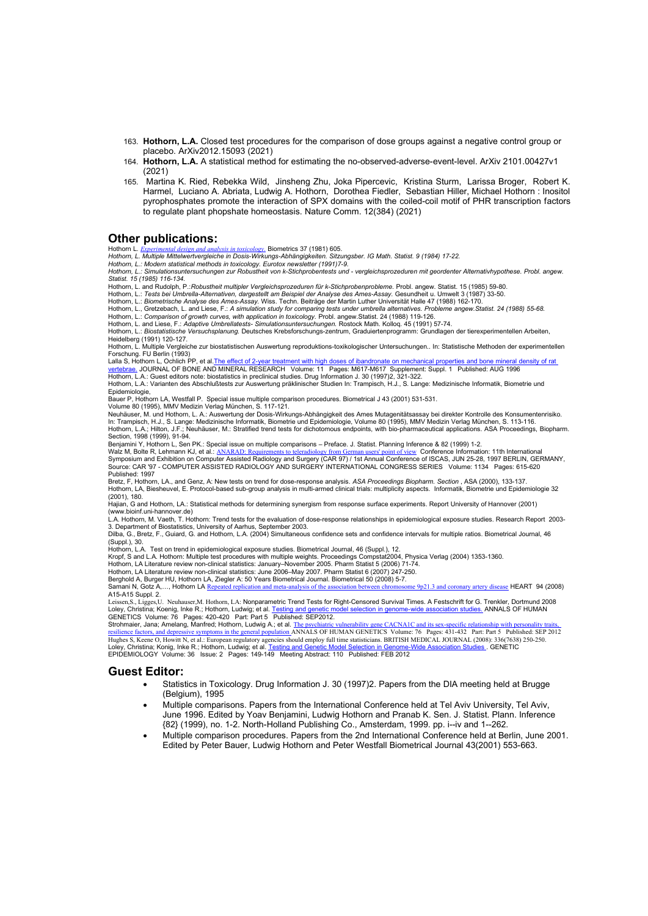- 163. **Hothorn, L.A.** Closed test procedures for the comparison of dose groups against a negative control group or placebo. ArXiv2012.15093 (2021)
- 164. **Hothorn, L.A.** A statistical method for estimating the no-observed-adverse-event-level. ArXiv 2101.00427v1 (2021)
- 165. Martina K. Ried, Rebekka Wild, Jinsheng Zhu, Joka Pipercevic, Kristina Sturm, Larissa Broger, Robert K. Harmel, Luciano A. Abriata, Ludwig A. Hothorn, Dorothea Fiedler, Sebastian Hiller, Michael Hothorn : Inositol pyrophosphates promote the interaction of SPX domains with the coiled-coil motif of PHR transcription factors to regulate plant phopshate homeostasis. Nature Comm. 12(384) (2021)

# **Other publications:**

Hothorn L*. [Expe rimental design and analysis in toxicology.](http://wos.isiknowledge.com/?SID=S2fMF9HO2cgbbKF@5k1&Func=Abstract&doc=2/1)* Biometrics 37 (1981) 605.

*Hothorn, L. Multiple Mittelwertvergleiche in Dosis-Wirkungs-Abhängigkeiten. Sitzungsber. IG Math. Statist. 9 (1984) 17-22.*

Hothorn, L.: Modern statistical methods in toxicology. Eurotox newsletter (1991)7-9.<br>Hothorn, L.: Simulationsuntersuchungen zur Robustheit von k-Stichprobentests und - vergleichsprozeduren mit geordenter Alternativhypothes

*Statist. 15 (1985) 116-134.*

Hothorn, L. and Rudolph, P.:*Robustheit multipler Vergleichsprozeduren für k-Stichprobenprobleme.* Probl. angew. Statist. 15 (1985) 59-80.<br>Hothorn, L.: *Tests bei Umbrella-Alternativen, dargestellt am Beispiel der Analyse* 

Hothorn, L.: *Biometrische Analyse des Ames-Assay.* Wiss. Techn. Beiträge der Martin Luther Universität Halle 47 (1988) 162-170.

Hothorn, L., Gretzebach, L. and Liese, F.: *A simulation study for comparing tests under umbrella alternatives. Probleme angew.Statist. 24 (1988) 55-68.*

Hothorn, L.: *Comparison of growth curves, with application in toxicology.* Probl. angew.Statist. 24 (1988) 119-126.<br>Hothorn, L. and Liese, F.: *Adaptive Umbrellatests- Simulationsuntersuchungen.* Rostock Math. Kolloq. 45

Hothorn, L.: *Biostatistische Versuchsplanung.* Deutsches Krebsforschungs-zentrum, Graduiertenprogramm: Grundlagen der tierexperimentellen Arbeiten, Heidelberg (1991) 120-127.

Hothorn, L. Multiple Vergleiche zur biostatistischen Auswertung reproduktions-toxikologischer Untersuchungen.. In: Statistische Methoden der experimentellen<br>Forschung. FU Berlin (1993)<br>Lalla S, Hothorn L, Ochlich PP, et al

Hothorn, L.A.: Guest editors note: biostatistics in preclinical studies. Drug Information J. 30 (1997)2, 321-322.<br>Hothorn, L.A.: Varianten des Abschlußtests zur Auswertung präklinischer Studien In: Trampisch, H.J., S. Lang Epidemiologie,

Bauer P, Hothorn LA, Westfall P. Special issue multiple comparison procedures. Biometrical J 43 (2001) 531-531. Volume 80 (1995), MMV Medizin Verlag München, S. 117-121.

Neuhäuser, M. und Hothorn, L. A.: Auswertung der Dosis-Wirkungs-Abhängigkeit des Ames Mutagenitätsassay bei direkter Kontrolle des Konsumentenrisiko.<br>In: Trampisch, H.J., S. Lange: Medizinische Informatik, Biometrie und Ep Hothorn, L.A.; Hilton, J.F.; Neuhäuser, M.: Stratified trend tests for dichotomous endpoints, with bio-pharmaceutical applications. ASA Proceedings, Biopharm. Section, 1998 (1999), 91-94.

Benjamini Y, Hothorn L, Sen PK.: Special issue on multiple comparisons – Preface. J. Statist. Planning Inference & 82 (1999) 1-2.

Walz M, Bolte R, Lehmann KJ, et al.: <u>[ANARAD: Requirements to teleradiology from German users' point of view](http://apps.isiknowledge.com/full_record.do?product=WOS&search_mode=GeneralSearch&qid=2&SID=Y1DN9JDcGKPbp3cHhp5&page=2&doc=64)</u> Conference Information: 11th International<br>Symposium and Exhibition on Computer Assisted Radiology and Surgery ( Published: 1997

Bretz, F, Hothorn, LA., and Genz, A: New tests on trend for dose-response analysis. *ASA Proceedings Biopharm. Section* , ASA (2000), 133-137.<br>Hothorn, LA, Biesheuvel, E. Protocol-based sub-group analysis in multi-armed cl

(2001), 180. Hajian, G and Hothorn, LA.: Statistical methods for determining synergism from response surface experiments. Report University of Hannover (2001)

(www.bioinf.uni-hannover.de) L.A. Hothorn, M. Vaeth, T. Hothorn: Trend tests for the evaluation of dose-response relationships in epidemiological exposure studies. Research Report 2003- 3. Department of Biostatistics, University of Aarhus, September 2003.<br>Dilba, G., Bretz, F., Guiard, G. and Hothorn, L.A. (2004) Simultaneous confidence sets and confidence intervals for multiple ratios. Biometrical Journal

(Suppl.), 30.

Hothorn, L.A. Test on trend in epidemiological exposure studies. Biometrical Journal, 46 (Suppl.), 12.<br>Kropf, S and L.A. Hothorn: Multiple test procedures with multiple weights. Proceedings Compstat2004, Physica Verlag (2

Hothorn, LA Literature review non-clinical statistics: January–November 2005. Pharm Statist 5 (2006) 71-74. Hothorn, LA Literature review non-clinical statistics: June 2006–May 2007. Pharm Statist 6 (2007) 247-250.

Berghold A, Burger HU, Hothorn LA, Ziegler A: 50 Years Biometrical Journal. Biometrical 50 (2008) 5-7.<br>Samani N, Gotz A,…, Hothorn LA <u>Repeated replication and meta-analysis of the association between chromosome 9p21.3 and</u>

A15-A15 Suppl. 2.<br>Leissen,S., Ligges,U. Neuhauser,M. Hothorn, LA: Nonparametric Trend Tests for Right-Censored Survival Times. A Festschrift for G. Trenkler, Dortmund 2008

Loley, Christina; Koenig, Inke R.; Hothorn, Ludwig; et al. <u>Testing and genetic model selection in genome-wide association studies.</u> ANNALS OF HUMAN<br>GENETICS Volume: 76 Pages: 420-420 Part: Part 5 Published: SEP2012

Strohmaier, Jana; Amelang, Manfred; Hothorn, Ludwig A.; et al. The psychiatric vulnerability gene CACNA1C and its sex-specific relationship with personality trait [resilience factors, and depressive symptoms in the general population A](http://shan01.tib.uni-hannover.de/han/WebofScience/apps.webofknowledge.com/full_record.do?product=WOS&search_mode=GeneralSearch&qid=1&SID=V1gNdB1fh@9HhBmjEL5&page=1&doc=6)NNALS OF HUMAN GENETICS Volume: 76 Pages: 431-432 Part: Part 5 Published: SEP 2012<br>Hughes S, Keene O, Howitt N, et al.: European regulatory agencies sh

#### **Guest Editor:**

- Statistics in Toxicology. Drug Information J. 30 (1997)2. Papers from the DIA meeting held at Brugge (Belgium), 1995
- Multiple comparisons. Papers from the International Conference held at Tel Aviv University, Tel Aviv, June 1996. Edited by Yoav Benjamini, Ludwig Hothorn and Pranab K. Sen. J. Statist. Plann. Inference {82} (1999), no. 1-2. North-Holland Publishing Co., Amsterdam, 1999. pp. i--iv and 1--262.
- Multiple comparison procedures. Papers from the 2nd International Conference held at Berlin, June 2001. Edited by Peter Bauer, Ludwig Hothorn and Peter Westfall Biometrical Journal 43(2001) 553-663.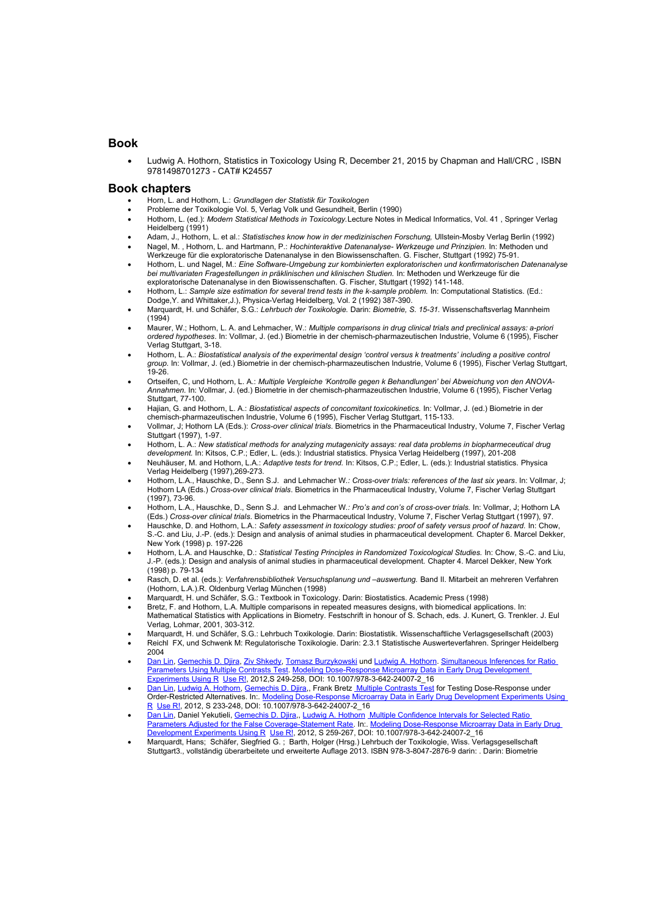### **Book**

 Ludwig A. Hothorn, Statistics in Toxicology Using R, December 21, 2015 by Chapman and Hall/CRC , ISBN 9781498701273 - CAT# K24557

#### **Book chapters**

- Horn, L. and Hothorn, L.: *Grundlagen der Statistik für Toxikologen*
- Probleme der Toxikologie Vol. 5, Verlag Volk und Gesundheit, Berlin (1990)
- Hothorn, L. (ed.): *Modern Statistical Methods in Toxicology.*Lecture Notes in Medical Informatics, Vol. 41 , Springer Verlag Heidelberg (1991)
- Adam, J., Hothorn, L. et al.: *Statistisches know how in der medizinischen Forschung,* Ullstein-Mosby Verlag Berlin (1992) Nagel, M. , Hothorn, L. and Hartmann, P.: *Hochinteraktive Datenanalyse- Werkzeuge und Prinzipien.* In: Methoden und
- Werkzeuge für die exploratorische Datenanalyse in den Biowissenschaften. G. Fischer, Stuttgart (1992) 75-91. Hothorn, L. und Nagel, M.: *Eine Software-Umgebung zur kombinierten exploratorischen und konfirmatorischen Datenanalyse bei multivariaten Fragestellungen in präklinischen und klinischen Studien.* In: Methoden und Werkzeuge für die exploratorische Datenanalyse in den Biowissenschaften. G. Fischer, Stuttgart (1992) 141-148.
- Hothorn, L.: *Sample size estimation for several trend tests in the k-sample problem.* In: Computational Statistics. (Ed.: Dodge,Y. and Whittaker,J.), Physica-Verlag Heidelberg, Vol. 2 (1992) 387-390.
- Marquardt, H. und Schäfer, S.G.: *Lehrbuch der Toxikologie.* Darin: *Biometrie, S. 15-31.* Wissenschaftsverlag Mannheim  $(1994)$
- Maurer, W.; Hothorn, L. A. and Lehmacher, W.: *Multiple comparisons in drug clinical trials and preclinical assays: a-priori ordered hypotheses*. In: Vollmar, J. (ed.) Biometrie in der chemisch-pharmazeutischen Industrie, Volume 6 (1995), Fischer Verlag Stuttgart, 3-18.
- Hothorn, L. A.: *Biostatistical analysis of the experimental design 'control versus k treatments' including a positive control group.* In: Vollmar, J. (ed.) Biometrie in der chemisch-pharmazeutischen Industrie, Volume 6 (1995), Fischer Verlag Stuttgart, 19-26.
- Ortseifen, C, und Hothorn, L. A.: *Multiple Vergleiche 'Kontrolle gegen k Behandlungen' bei Abweichung von den ANOVA-Annahmen.* In: Vollmar, J. (ed.) Biometrie in der chemisch-pharmazeutischen Industrie, Volume 6 (1995), Fischer Verlag Stuttgart, 77-100.
- Hajian, G. and Hothorn, L. A.: *Biostatistical aspects of concomitant toxicokinetics.* In: Vollmar, J. (ed.) Biometrie in der chemisch-pharmazeutischen Industrie, Volume 6 (1995), Fischer Verlag Stuttgart, 115-133.
- Vollmar, J; Hothorn LA (Eds.): *Cross-over clinical trials*. Biometrics in the Pharmaceutical Industry, Volume 7, Fischer Verlag Stuttgart (1997), 1-97.
- Hothorn, L. A.: *New statistical methods for analyzing mutagenicity assays: real data problems in biopharmeceutical drug development.* In: Kitsos, C.P.; Edler, L. (eds.): Industrial statistics. Physica Verlag Heidelberg (1997), 201-208
- Neuhäuser, M. and Hothorn, L.A.: *Adaptive tests for trend.* In: Kitsos, C.P.; Edler, L. (eds.): Industrial statistics. Physica Verlag Heidelberg (1997),269-273.
- Hothorn, L.A., Hauschke, D., Senn S.J. and Lehmacher W*.: Cross-over trials: references of the last six years*. In: Vollmar, J; Hothorn LA (Eds.) *Cross-over clinical trials*. Biometrics in the Pharmaceutical Industry, Volume 7, Fischer Verlag Stuttgart (1997), 73-96.
- Hothorn, L.A., Hauschke, D., Senn S.J. and Lehmacher W*.: Pro's and con's of cross-over trials.* In: Vollmar, J; Hothorn LA (Eds.) *Cross-over clinical trials*. Biometrics in the Pharmaceutical Industry, Volume 7, Fischer Verlag Stuttgart (1997), 97.
- Hauschke, D. and Hothorn, L.A.: *Safety assessment in toxicology studies: proof of safety versus proof of hazard.* In: Chow, S.-C. and Liu, J.-P. (eds.): Design and analysis of animal studies in pharmaceutical development. Chapter 6. Marcel Dekker, New York (1998) p. 197-226
- Hothorn, L.A. and Hauschke, D.: *Statistical Testing Principles in Randomized Toxicological Studies.* In: Chow, S.-C. and Liu, J.-P. (eds.): Design and analysis of animal studies in pharmaceutical development. Chapter 4. Marcel Dekker, New York (1998) p. 79-134
- Rasch, D. et al. (eds.): *Verfahrensbibliothek Versuchsplanung und –auswertung.* Band II. Mitarbeit an mehreren Verfahren (Hothorn, L.A.).R. Oldenburg Verlag München (1998)
- Marquardt, H. und Schäfer, S.G.: Textbook in Toxicology. Darin: Biostatistics. Academic Press (1998)
- Bretz, F. and Hothorn, L.A. Multiple comparisons in repeated measures designs, with biomedical applications. In: Mathematical Statistics with Applications in Biometry. Festschrift in honour of S. Schach, eds. J. Kunert, G. Trenkler. J. Eul Verlag, Lohmar, 2001, 303-312.
- Marquardt, H. und Schäfer, S.G.: Lehrbuch Toxikologie. Darin: Biostatistik. Wissenschaftliche Verlagsgesellschaft (2003)
- Reichl FX, und Schwenk M: Regulatorische Toxikologie. Darin: 2.3.1 Statistische Auswerteverfahren. Springer Heidelberg 2004
- • [Dan Lin](https://springerlink3.metapress.com/content/?Author=Dan+Lin), [Gemechis D. Djira](https://springerlink3.metapress.com/content/?Author=Gemechis+D.+Djira), [Ziv Shkedy,](https://springerlink3.metapress.com/content/?Author=Ziv+Shkedy) [Tomasz Burzykowski](https://springerlink3.metapress.com/content/?Author=Tomasz+Burzykowski) und [Ludwig A. Hothorn](https://springerlink3.metapress.com/content/?Author=Ludwig+A.+Hothorn). Simultaneous Inferences for Ratio [Parameters Using Multiple Contrasts Test.](https://springerlink3.metapress.com/content/u08424754k112j12/) [Modeling Dose-Response Microarray Data in Early Drug Development](https://springerlink3.metapress.com/content/978-3-642-24006-5/)  [Experiments Using R](https://springerlink3.metapress.com/content/978-3-642-24006-5/) [Use R!](https://springerlink3.metapress.com/content/t83625/), 2012,S 249-258, DOI: 10.1007/978-3-642-24007-2\_16
- **Dan Lin, [Ludwig A. Hothorn](https://springerlink3.metapress.com/content/?Author=Ludwig+A.+Hothorn), [Gemechis D. Djira,](https://springerlink3.metapress.com/content/?Author=Gemechis+D.+Djira), Frank Bretz [Multiple Contrasts Test](https://springerlink3.metapress.com/content/u08424754k112j12/) for Testing Dose-Response under** Order-Restricted Alternatives. In:. Modeling Dose-Response Microarray Data in Early Drug Development Experiments Using [R](https://springerlink3.metapress.com/content/978-3-642-24006-5/) [Use R!,](https://springerlink3.metapress.com/content/t83625/) 2012, S 233-248, DOI: 10.1007/978-3-642-24007-2\_16
- Dan Lin, Daniel Yekutieli, [Gemechis D. Djira](https://springerlink3.metapress.com/content/?Author=Gemechis+D.+Djira),, [Ludwig A. Hothorn](https://springerlink3.metapress.com/content/?Author=Ludwig+A.+Hothorn) Multiple Confidence Intervals for Selected Ratio [Parameters Adjusted for the False Coverage-Statement Rate.](https://springerlink3.metapress.com/content/u08424754k112j12/) In:. [Modeling Dose-Response Microarray Data in Early Drug](https://springerlink3.metapress.com/content/978-3-642-24006-5/)  [Development Experiments Using R](https://springerlink3.metapress.com/content/978-3-642-24006-5/) [Use R!,](https://springerlink3.metapress.com/content/t83625/) 2012, S 259-267, DOI: 10.1007/978-3-642-24007-2\_16
- Marquardt, Hans; Schäfer, Siegfried G. ; Barth, Holger (Hrsg.) Lehrbuch der Toxikologie, Wiss. Verlagsgesellschaft Stuttgart3., vollständig überarbeitete und erweiterte Auflage 2013. ISBN 978-3-8047-2876-9 darin: . Darin: Biometrie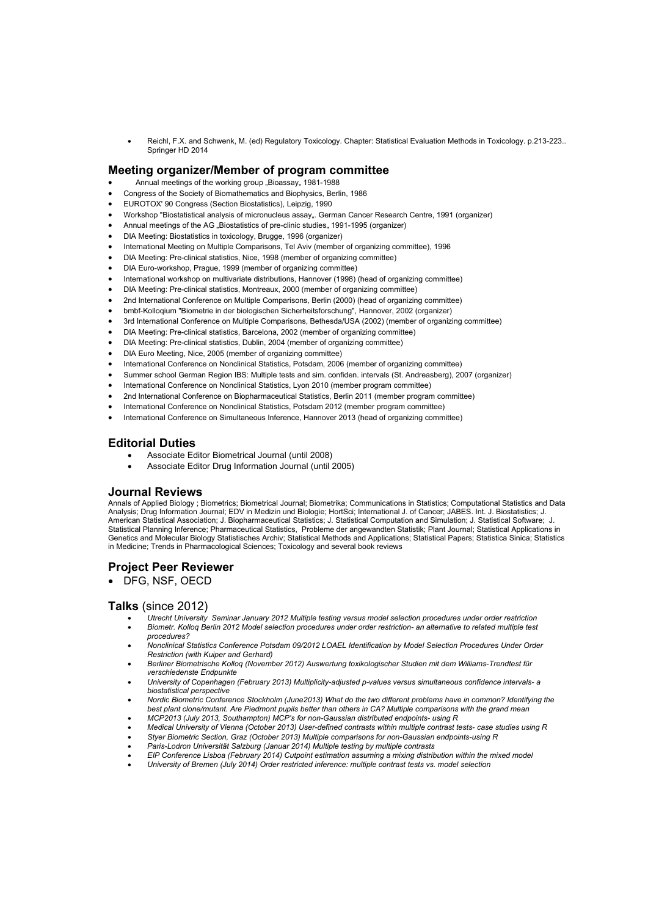Reichl, F.X. and Schwenk, M. (ed) Regulatory Toxicology. Chapter: Statistical Evaluation Methods in Toxicology. p.213-223.. Springer HD 2014

#### **Meeting organizer/Member of program committee**

- Annual meetings of the working group "Bioassay, 1981-1988
- Congress of the Society of Biomathematics and Biophysics, Berlin, 1986
- EUROTOX' 90 Congress (Section Biostatistics), Leipzig, 1990
- Workshop "Biostatistical analysis of micronucleus assay". German Cancer Research Centre, 1991 (organizer)
- Annual meetings of the AG "Biostatistics of pre-clinic studies, 1991-1995 (organizer)
- DIA Meeting: Biostatistics in toxicology, Brugge, 1996 (organizer)
- International Meeting on Multiple Comparisons, Tel Aviv (member of organizing committee), 1996
- DIA Meeting: Pre-clinical statistics, Nice, 1998 (member of organizing committee)
- DIA Euro-workshop, Prague, 1999 (member of organizing committee)
- International workshop on multivariate distributions, Hannover (1998) (head of organizing committee)
- DIA Meeting: Pre-clinical statistics, Montreaux, 2000 (member of organizing committee)
- 2nd International Conference on Multiple Comparisons, Berlin (2000) (head of organizing committee)
- bmbf-Kolloqium "Biometrie in der biologischen Sicherheitsforschung", Hannover, 2002 (organizer)
- 3rd International Conference on Multiple Comparisons, Bethesda/USA (2002) (member of organizing committee)
- DIA Meeting: Pre-clinical statistics, Barcelona, 2002 (member of organizing committee)
- DIA Meeting: Pre-clinical statistics, Dublin, 2004 (member of organizing committee)
- DIA Euro Meeting, Nice, 2005 (member of organizing committee)
- International Conference on Nonclinical Statistics, Potsdam, 2006 (member of organizing committee)
- Summer school German Region IBS: Multiple tests and sim. confiden. intervals (St. Andreasberg), 2007 (organizer)
- International Conference on Nonclinical Statistics, Lyon 2010 (member program committee)
- 2nd International Conference on Biopharmaceutical Statistics, Berlin 2011 (member program committee)
- International Conference on Nonclinical Statistics, Potsdam 2012 (member program committee)
- International Conference on Simultaneous Inference, Hannover 2013 (head of organizing committee)

# **Editorial Duties**

- Associate Editor Biometrical Journal (until 2008)
- Associate Editor Drug Information Journal (until 2005)

# **Journal Reviews**

Annals of Applied Biology ; Biometrics; Biometrical Journal; Biometrika; Communications in Statistics; Computational Statistics and Data Analysis; Drug Information Journal; EDV in Medizin und Biologie; HortSci; International J. of Cancer; JABES. Int. J. Biostatistics; J. American Statistical Association; J. Biopharmaceutical Statistics; J. Statistical Computation and Simulation; J. Statistical Software; J. Statistical Planning Inference; Pharmaceutical Statistics, Probleme der angewandten Statistik; Plant Journal; Statistical Applications in Genetics and Molecular Biology Statistisches Archiv; Statistical Methods and Applications; Statistical Papers; Statistica Sinica; Statistics in Medicine; Trends in Pharmacological Sciences; Toxicology and several book reviews

# **Project Peer Reviewer**

DFG, NSF, OECD

### **Talks** (since 2012)

- *Utrecht University Seminar January 2012 Multiple testing versus model selection procedures under order restriction Biometr. Kolloq Berlin 2012 Model selection procedures under order restriction- an alternative to related multiple test*
- *procedures? Nonclinical Statistics Conference Potsdam 09/2012 LOAEL Identification by Model Selection Procedures Under Order*
- *Restriction (with Kuiper and Gerhard) Berliner Biometrische Kolloq (November 2012) Auswertung toxikologischer Studien mit dem Williams-Trendtest für*
- *verschiedenste Endpunkte*
- *University of Copenhagen (February 2013) Multiplicity-adjusted p-values versus simultaneous confidence intervals- a biostatistical perspective*
- *Nordic Biometric Conference Stockholm (June2013) What do the two different problems have in common? Identifying the best plant clone/mutant. Are Piedmont pupils better than others in CA? Multiple comparisons with the grand mean*
- *MCP2013 (July 2013, Southampton) MCP's for non-Gaussian distributed endpoints- using R*
- *Medical University of Vienna (October 2013) User-defined contrasts within multiple contrast tests- case studies using R*
- *Styer Biometric Section, Graz (October 2013) Multiple comparisons for non-Gaussian endpoints-using R*
- *Paris-Lodron Universität Salzburg (Januar 2014) Multiple testing by multiple contrasts*
- *EIP Conference Lisboa (February 2014) Cutpoint estimation assuming a mixing distribution within the mixed model*
- *University of Bremen (July 2014) Order restricted inference: multiple contrast tests vs. model selection*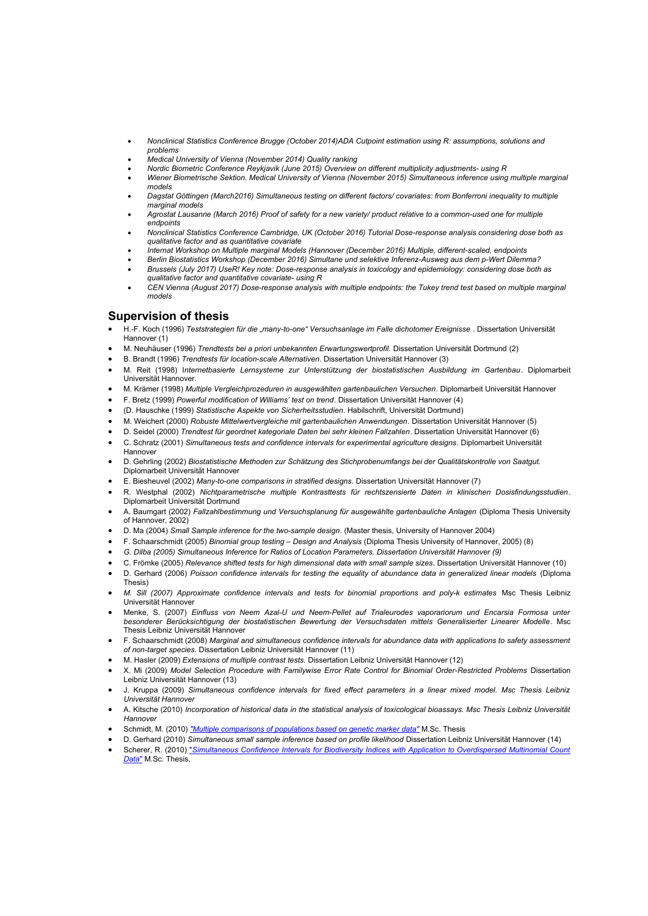- *Nonclinical Statistics Conference Brugge (October 2014)ADA Cutpoint estimation using R: assumptions, solutions and problems*
- *Medical University of Vienna (November 2014) Quality ranking*
- *Nordic Biometric Conference Reykjavik (June 2015) Overview on different multiplicity adjustments- using R*
- *Wiener Biometrische Sektion. Medical University of Vienna (November 2015) Simultaneous inference using multiple marginal models*
- *Dagstat Göttingen (March2016) Simultaneous testing on different factors/ covariates: from Bonferroni inequality to multiple marginal models*
- *Agrostat Lausanne (March 2016) Proof of safety for a new variety/ product relative to a common-used one for multiple endpoints*
- *Nonclinical Statistics Conference Cambridge, UK (October 2016) Tutorial Dose-response analysis considering dose both as qualitative factor and as quantitative covariate*
- *Internat Workshop on Multiple marginal Models (Hannover (December 2016) Multiple, different-scaled, endpoints*
- *Berlin Biostatistics Workshop (December 2016) Simultane und selektive Inferenz-Ausweg aus dem p-Wert Dilemma? Brussels (July 2017) UseR! Key note: Dose-response analysis in toxicology and epidemiology: considering dose both as qualitative factor and quantitative covariate- using R*
- *CEN Vienna (August 2017) Dose-response analysis with multiple endpoints: the Tukey trend test based on multiple marginal models*

# **Supervision of thesis**

- H.-F. Koch (1996) *Teststrategien für die "many-to-one" Versuchsanlage im Falle dichotomer Ereignisse* . Dissertation Universität Hannover (1)
- M. Neuhäuser (1996) *Trendtests bei a priori unbekannten Erwartungswertprofil.* Dissertation Universität Dortmund (2)
- B. Brandt (1996) *Trendtests für location-scale Alternativen*. Dissertation Universität Hannover (3)
- M. Reit (1998) I*nternetbasierte Lernsysteme zur Unterstützung der biostatistischen Ausbildung im Gartenbau*. Diplomarbeit Universität Hannover.
- M. Krämer (1998) *Multiple Vergleichprozeduren in ausgewählten gartenbaulichen Versuchen*. Diplomarbeit Universität Hannover
- F. Bretz (1999) *Powerful modification of Williams' test on trend*. Dissertation Universität Hannover (4)
- (D. Hauschke (1999) *Statistische Aspekte von Sicherheitsstudien*. Habilschrift, Universität Dortmund)
- M. Weichert (2000) *Robuste Mittelwertvergleiche mit gartenbaulichen Anwendungen*. Dissertation Universität Hannover (5)
- D. Seidel (2000) *Trendtest für geordnet kategoriale Daten bei sehr kleinen Fallzahlen*. Dissertation Universität Hannover (6)
- C. Schratz (2001) *Simultaneous tests and confidence intervals for experimental agriculture designs*. Diplomarbeit Universität **Hannover**
- D. Gehrling (2002) *Biostatistische Methoden zur Schätzung des Stichprobenumfangs bei der Qualitätskontrolle von Saatgut.* Diplomarbeit Universität Hannover
- E. Biesheuvel (2002) *Many-to-one comparisons in stratified designs*. Dissertation Universität Hannover (7)
- R. Westphal (2002) *Nichtparametrische multiple Kontrasttests für rechtszensierte Daten in klinischen Dosisfindungsstudien*. Diplomarbeit Universität Dortmund
- A. Baumgart (2002) *Fallzahlbestimmung und Versuchsplanung für ausgewählte gartenbauliche Anlagen* (Diploma Thesis University of Hannover, 2002)
- D. Ma (2004) *Small Sample inference for the two-sample design*. (Master thesis, University of Hannover 2004)
- F. Schaarschmidt (2005) *Binomial group testing Design and Analysis* (Diploma Thesis University of Hannover, 2005) (8)
- *G. Dilba (2005) Simultaneous Inference for Ratios of Location Parameters. Dissertation Universität Hannover (9)*
- C. Frömke (2005) *Relevance shifted tests for high dimensional data with small sample sizes*. Dissertation Universität Hannover (10)
- D. Gerhard (2006) *Poisson confidence intervals for testing the equality of abundance data in generalized linear models* (Diploma Thesis)
- *M. Sill (2007) Approximate confidence intervals and tests for binomial proportions and poly-k estimates* Msc Thesis Leibniz Universität Hannover
- Menke, S. (2007) *Einfluss von Neem Azal-U und Neem-Pellet auf Trialeurodes vaporariorum und Encarsia Formosa unter besonderer Berücksichtigung der biostatistischen Bewertung der Versuchsdaten mittels Generalisierter Linearer Modelle*. Msc Thesis Leibniz Universität Hannover
- F. Schaarschmidt (2008) *Marginal and simultaneous confidence intervals for abundance data with applications to safety assessment of non-target species*. Dissertation Leibniz Universität Hannover (11)
- M. Hasler (2009) *Extensions of multiple contrast tests.* Dissertation Leibniz Universität Hannover (12)
- X. Mi (2009) Model Selection Procedure with Familywise Error Rate Control for Binomial Order-Restricted Problems Dissertation Leibniz Universität Hannover (13)
- J. Kruppa (2009) *Simultaneous confidence intervals for fixed effect parameters in a linear mixed model. Msc Thesis Leibniz Universität Hannover*
- A. Kitsche (2010) *Incorporation of historical data in the statistical analysis of toxicological bioassays. Msc Thesis Leibniz Universität Hannover*
- Schmidt, M. (2010) *["Multiple comparisons of populations based on genetic marker data"](http://www.biostat.uni-hannover.de/fileadmin/institut/pdf/Master_thesis_Schmidt.pdf)* M.Sc. Thesis
- D. Gerhard (2010) *Simultaneous small sample inference based on profile likelihood* Dissertation Leibniz Universität Hannover (14)
- Scherer, R. (2010) "**[Simultaneous Confidence Intervals for Biodiversity Indices with Application to Overdispersed Multinomial Count](http://www.biostat.uni-hannover.de/fileadmin/institut/pdf/MScScherer20100525.pdf)** *Data*<sup>*''*</sup> M.Sc. Thesis